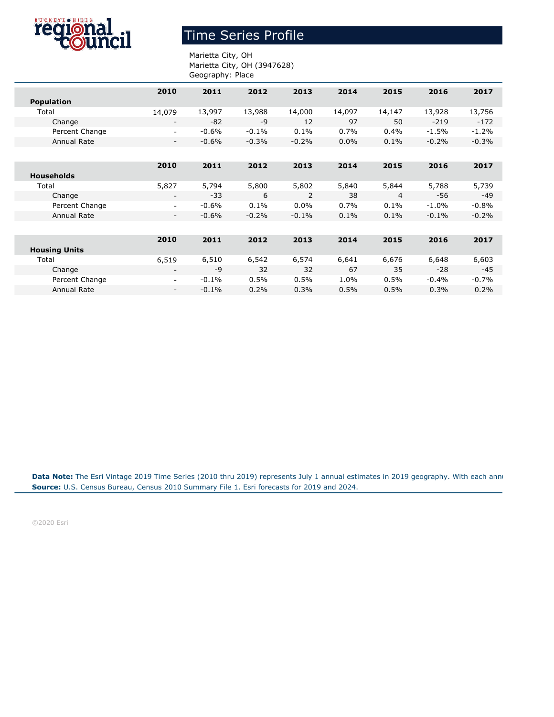

## Time Series Profile

## Marietta City, OH Marietta City, OH (3947628) Geography: Place

|                      | 2010                     | 2011    | 2012    | 2013    | 2014    | 2015           | 2016     | 2017    |
|----------------------|--------------------------|---------|---------|---------|---------|----------------|----------|---------|
| <b>Population</b>    |                          |         |         |         |         |                |          |         |
| Total                | 14,079                   | 13,997  | 13,988  | 14,000  | 14,097  | 14,147         | 13,928   | 13,756  |
| Change               | $\overline{\phantom{a}}$ | $-82$   | -9      | 12      | 97      | 50             | $-219$   | $-172$  |
| Percent Change       | $\overline{\phantom{a}}$ | $-0.6%$ | $-0.1%$ | 0.1%    | 0.7%    | 0.4%           | $-1.5%$  | $-1.2%$ |
| Annual Rate          | $\overline{\phantom{a}}$ | $-0.6%$ | $-0.3%$ | $-0.2%$ | $0.0\%$ | 0.1%           | $-0.2%$  | $-0.3%$ |
|                      |                          |         |         |         |         |                |          |         |
|                      | 2010                     | 2011    | 2012    | 2013    | 2014    | 2015           | 2016     | 2017    |
| <b>Households</b>    |                          |         |         |         |         |                |          |         |
| Total                | 5,827                    | 5,794   | 5,800   | 5,802   | 5,840   | 5,844          | 5,788    | 5,739   |
| Change               | $\overline{\phantom{a}}$ | $-33$   | 6       | 2       | 38      | $\overline{4}$ | -56      | $-49$   |
| Percent Change       | $\overline{\phantom{a}}$ | $-0.6%$ | 0.1%    | $0.0\%$ | 0.7%    | $0.1\%$        | $-1.0\%$ | $-0.8%$ |
| Annual Rate          | $\overline{\phantom{a}}$ | $-0.6%$ | $-0.2%$ | $-0.1%$ | 0.1%    | 0.1%           | $-0.1%$  | $-0.2%$ |
|                      |                          |         |         |         |         |                |          |         |
|                      | 2010                     | 2011    | 2012    | 2013    | 2014    | 2015           | 2016     | 2017    |
| <b>Housing Units</b> |                          |         |         |         |         |                |          |         |
| Total                | 6,519                    | 6,510   | 6,542   | 6,574   | 6,641   | 6,676          | 6,648    | 6,603   |
| Change               | $\overline{\phantom{a}}$ | -9      | 32      | 32      | 67      | 35             | $-28$    | $-45$   |
| Percent Change       | $\overline{\phantom{a}}$ | $-0.1%$ | 0.5%    | 0.5%    | 1.0%    | 0.5%           | $-0.4\%$ | $-0.7%$ |
| <b>Annual Rate</b>   | $\overline{\phantom{a}}$ | $-0.1%$ | 0.2%    | 0.3%    | 0.5%    | 0.5%           | 0.3%     | 0.2%    |
|                      |                          |         |         |         |         |                |          |         |

**Source:** U.S. Census Bureau, Census 2010 Summary File 1. Esri forecasts for 2019 and 2024. Data Note: The Esri Vintage 2019 Time Series (2010 thru 2019) represents July 1 annual estimates in 2019 geography. With each annu

©2020 Esri